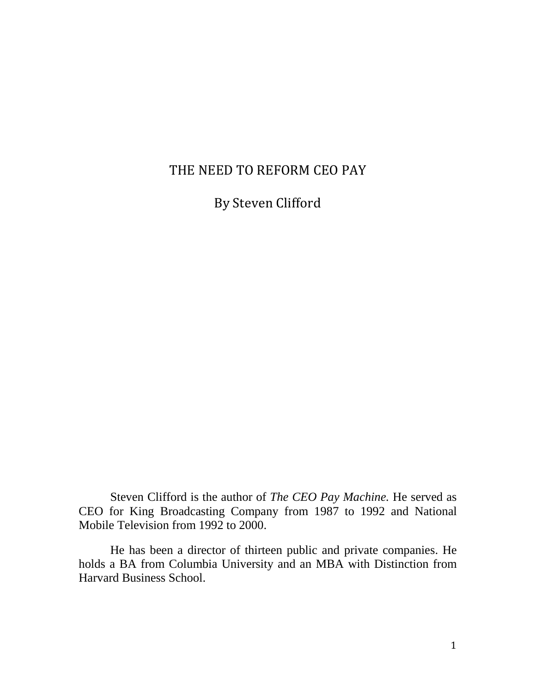## THE NEED TO REFORM CEO PAY

By Steven Clifford

Steven Clifford is the author of *The CEO Pay Machine.* He served as CEO for King Broadcasting Company from 1987 to 1992 and National Mobile Television from 1992 to 2000.

He has been a director of thirteen public and private companies. He holds a BA from Columbia University and an MBA with Distinction from Harvard Business School.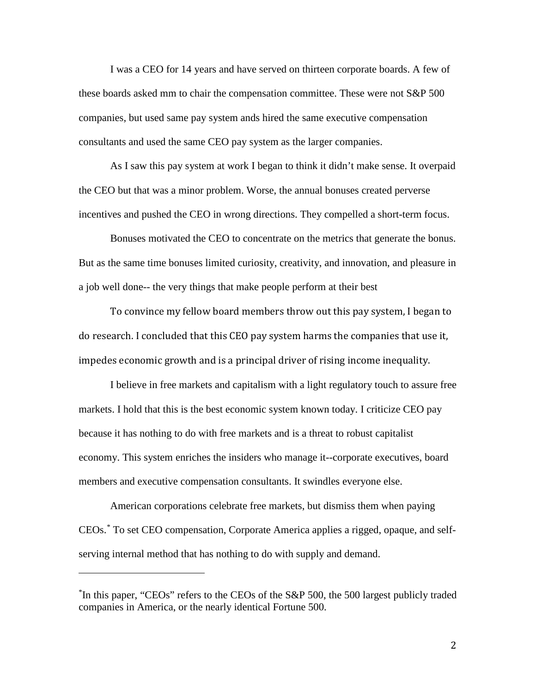I was a CEO for 14 years and have served on thirteen corporate boards. A few of these boards asked mm to chair the compensation committee. These were not S&P 500 companies, but used same pay system ands hired the same executive compensation consultants and used the same CEO pay system as the larger companies.

As I saw this pay system at work I began to think it didn't make sense. It overpaid the CEO but that was a minor problem. Worse, the annual bonuses created perverse incentives and pushed the CEO in wrong directions. They compelled a short-term focus.

Bonuses motivated the CEO to concentrate on the metrics that generate the bonus. But as the same time bonuses limited curiosity, creativity, and innovation, and pleasure in a job well done-- the very things that make people perform at their best

To convince my fellow board members throw out this pay system, I began to do research. I concluded that this CEO pay system harms the companies that use it, impedes economic growth and is a principal driver of rising income inequality.

I believe in free markets and capitalism with a light regulatory touch to assure free markets. I hold that this is the best economic system known today. I criticize CEO pay because it has nothing to do with free markets and is a threat to robust capitalist economy. This system enriches the insiders who manage it--corporate executives, board members and executive compensation consultants. It swindles everyone else.

American corporations celebrate free markets, but dismiss them when paying CEOs. [\\*](#page-1-0) To set CEO compensation, Corporate America applies a rigged, opaque, and selfserving internal method that has nothing to do with supply and demand.

<span id="page-1-0"></span><sup>\*</sup> In this paper, "CEOs" refers to the CEOs of the S&P 500, the 500 largest publicly traded companies in America, or the nearly identical Fortune 500.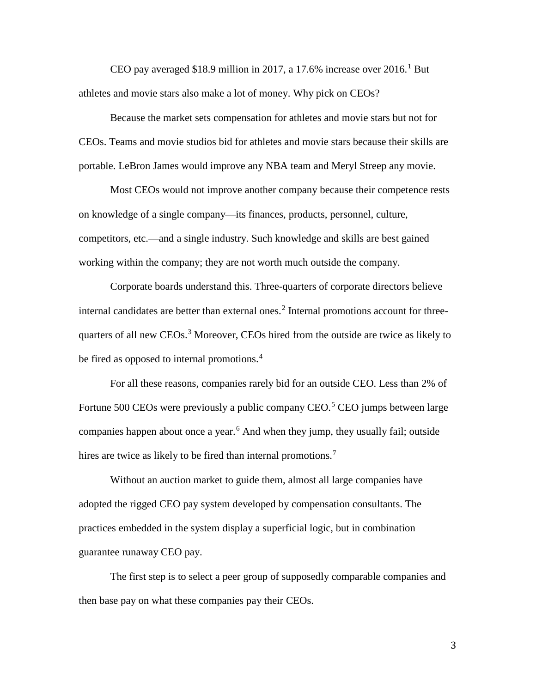CEO pay averaged \$[1](#page-12-0)8.9 million in 2017, a 17.6% increase over  $2016<sup>1</sup>$  But athletes and movie stars also make a lot of money. Why pick on CEOs?

Because the market sets compensation for athletes and movie stars but not for CEOs. Teams and movie studios bid for athletes and movie stars because their skills are portable. LeBron James would improve any NBA team and Meryl Streep any movie.

Most CEOs would not improve another company because their competence rests on knowledge of a single company—its finances, products, personnel, culture, competitors, etc.—and a single industry. Such knowledge and skills are best gained working within the company; they are not worth much outside the company.

Corporate boards understand this. Three-quarters of corporate directors believe internal candidates are better than external ones.<sup>[2](#page-12-1)</sup> Internal promotions account for three-quarters of all new CEOs.<sup>[3](#page-12-2)</sup> Moreover, CEOs hired from the outside are twice as likely to be fired as opposed to internal promotions.<sup>[4](#page-12-3)</sup>

For all these reasons, companies rarely bid for an outside CEO. Less than 2% of Fortune [5](#page-12-4)00 CEOs were previously a public company CEO.<sup>5</sup> CEO jumps between large companies happen about once a year.<sup>[6](#page-12-5)</sup> And when they jump, they usually fail; outside hires are twice as likely to be fired than internal promotions.<sup>[7](#page-12-6)</sup>

Without an auction market to guide them, almost all large companies have adopted the rigged CEO pay system developed by compensation consultants. The practices embedded in the system display a superficial logic, but in combination guarantee runaway CEO pay.

The first step is to select a peer group of supposedly comparable companies and then base pay on what these companies pay their CEOs.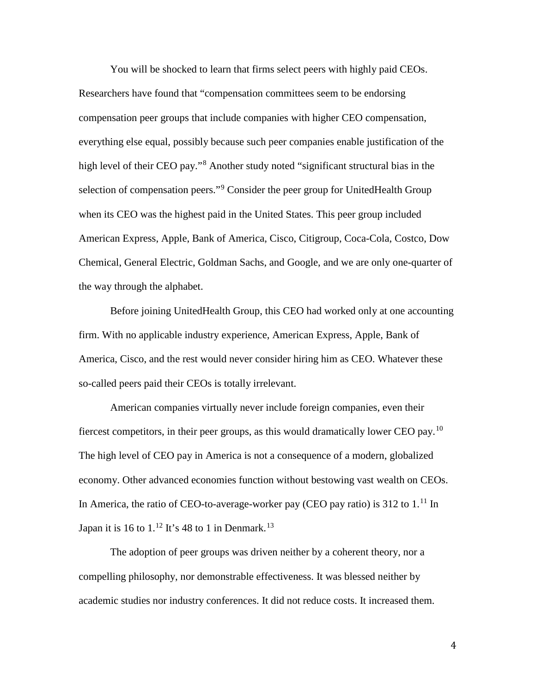You will be shocked to learn that firms select peers with highly paid CEOs. Researchers have found that "compensation committees seem to be endorsing compensation peer groups that include companies with higher CEO compensation, everything else equal, possibly because such peer companies enable justification of the high level of their CEO pay."<sup>[8](#page-13-0)</sup> Another study noted "significant structural bias in the selection of compensation peers."<sup>[9](#page-13-1)</sup> Consider the peer group for UnitedHealth Group when its CEO was the highest paid in the United States. This peer group included American Express, Apple, Bank of America, Cisco, Citigroup, Coca-Cola, Costco, Dow Chemical, General Electric, Goldman Sachs, and Google, and we are only one-quarter of the way through the alphabet.

Before joining UnitedHealth Group, this CEO had worked only at one accounting firm. With no applicable industry experience, American Express, Apple, Bank of America, Cisco, and the rest would never consider hiring him as CEO. Whatever these so-called peers paid their CEOs is totally irrelevant.

American companies virtually never include foreign companies, even their fiercest competitors, in their peer groups, as this would dramatically lower CEO pay.<sup>[10](#page-13-2)</sup> The high level of CEO pay in America is not a consequence of a modern, globalized economy. Other advanced economies function without bestowing vast wealth on CEOs. In America, the ratio of CEO-to-average-worker pay (CEO pay ratio) is 312 to  $1<sup>11</sup>$  $1<sup>11</sup>$  $1<sup>11</sup>$  In Japan it is 16 to  $1.^{12}$  $1.^{12}$  $1.^{12}$  It's 48 to 1 in Denmark.<sup>[13](#page-13-5)</sup>

The adoption of peer groups was driven neither by a coherent theory, nor a compelling philosophy, nor demonstrable effectiveness. It was blessed neither by academic studies nor industry conferences. It did not reduce costs. It increased them.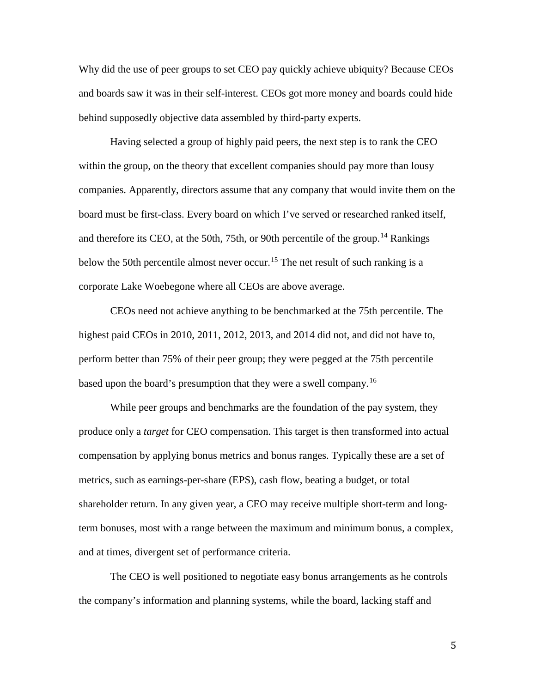Why did the use of peer groups to set CEO pay quickly achieve ubiquity? Because CEOs and boards saw it was in their self-interest. CEOs got more money and boards could hide behind supposedly objective data assembled by third-party experts.

Having selected a group of highly paid peers, the next step is to rank the CEO within the group, on the theory that excellent companies should pay more than lousy companies. Apparently, directors assume that any company that would invite them on the board must be first-class. Every board on which I've served or researched ranked itself, and therefore its CEO, at the 50th, 75th, or 90th percentile of the group.<sup>[14](#page-13-6)</sup> Rankings below the 50th percentile almost never occur.<sup>[15](#page-13-7)</sup> The net result of such ranking is a corporate Lake Woebegone where all CEOs are above average.

CEOs need not achieve anything to be benchmarked at the 75th percentile. The highest paid CEOs in 2010, 2011, 2012, 2013, and 2014 did not, and did not have to, perform better than 75% of their peer group; they were pegged at the 75th percentile based upon the board's presumption that they were a swell company.<sup>[16](#page-13-8)</sup>

While peer groups and benchmarks are the foundation of the pay system, they produce only a *target* for CEO compensation. This target is then transformed into actual compensation by applying bonus metrics and bonus ranges. Typically these are a set of metrics, such as earnings-per-share (EPS), cash flow, beating a budget, or total shareholder return. In any given year, a CEO may receive multiple short-term and longterm bonuses, most with a range between the maximum and minimum bonus, a complex, and at times, divergent set of performance criteria.

The CEO is well positioned to negotiate easy bonus arrangements as he controls the company's information and planning systems, while the board, lacking staff and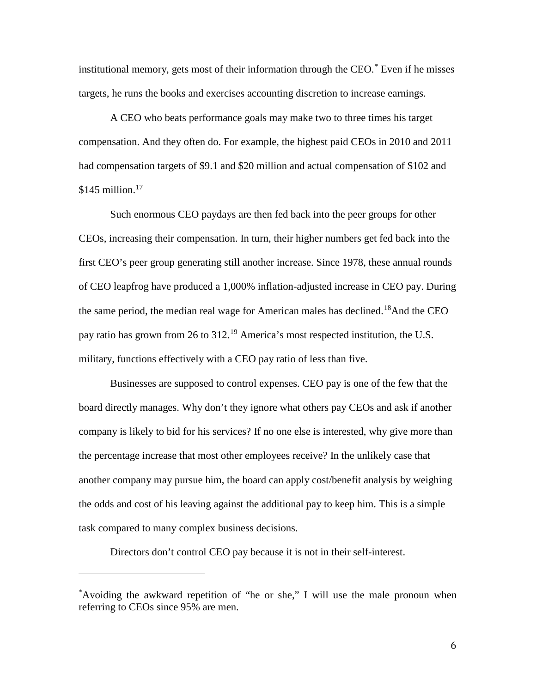institutional memory, gets most of their information through the CEO.[\\*](#page-5-0) Even if he misses targets, he runs the books and exercises accounting discretion to increase earnings.

A CEO who beats performance goals may make two to three times his target compensation. And they often do. For example, the highest paid CEOs in 2010 and 2011 had compensation targets of \$9.1 and \$20 million and actual compensation of \$102 and  $$145$  million.<sup>[17](#page-13-9)</sup>

Such enormous CEO paydays are then fed back into the peer groups for other CEOs, increasing their compensation. In turn, their higher numbers get fed back into the first CEO's peer group generating still another increase. Since 1978, these annual rounds of CEO leapfrog have produced a 1,000% inflation-adjusted increase in CEO pay. During the same period, the median real wage for American males has declined.<sup>[18](#page-13-10)</sup>And the CEO pay ratio has grown from 26 to 312.<sup>[19](#page-13-11)</sup> America's most respected institution, the U.S. military, functions effectively with a CEO pay ratio of less than five.

Businesses are supposed to control expenses. CEO pay is one of the few that the board directly manages. Why don't they ignore what others pay CEOs and ask if another company is likely to bid for his services? If no one else is interested, why give more than the percentage increase that most other employees receive? In the unlikely case that another company may pursue him, the board can apply cost/benefit analysis by weighing the odds and cost of his leaving against the additional pay to keep him. This is a simple task compared to many complex business decisions.

Directors don't control CEO pay because it is not in their self-interest.

<span id="page-5-0"></span><sup>\*</sup> Avoiding the awkward repetition of "he or she," I will use the male pronoun when referring to CEOs since 95% are men.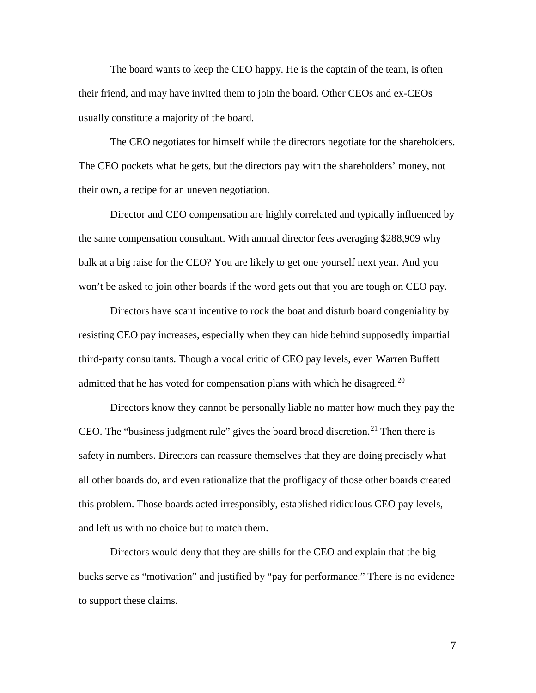The board wants to keep the CEO happy. He is the captain of the team, is often their friend, and may have invited them to join the board. Other CEOs and ex-CEOs usually constitute a majority of the board.

The CEO negotiates for himself while the directors negotiate for the shareholders. The CEO pockets what he gets, but the directors pay with the shareholders' money, not their own, a recipe for an uneven negotiation.

Director and CEO compensation are highly correlated and typically influenced by the same compensation consultant. With annual director fees averaging \$288,909 why balk at a big raise for the CEO? You are likely to get one yourself next year. And you won't be asked to join other boards if the word gets out that you are tough on CEO pay.

Directors have scant incentive to rock the boat and disturb board congeniality by resisting CEO pay increases, especially when they can hide behind supposedly impartial third-party consultants. Though a vocal critic of CEO pay levels, even Warren Buffett admitted that he has voted for compensation plans with which he disagreed.<sup>[20](#page-14-0)</sup>

Directors know they cannot be personally liable no matter how much they pay the CEO. The "business judgment rule" gives the board broad discretion.<sup>[21](#page-14-1)</sup> Then there is safety in numbers. Directors can reassure themselves that they are doing precisely what all other boards do, and even rationalize that the profligacy of those other boards created this problem. Those boards acted irresponsibly, established ridiculous CEO pay levels, and left us with no choice but to match them.

Directors would deny that they are shills for the CEO and explain that the big bucks serve as "motivation" and justified by "pay for performance." There is no evidence to support these claims.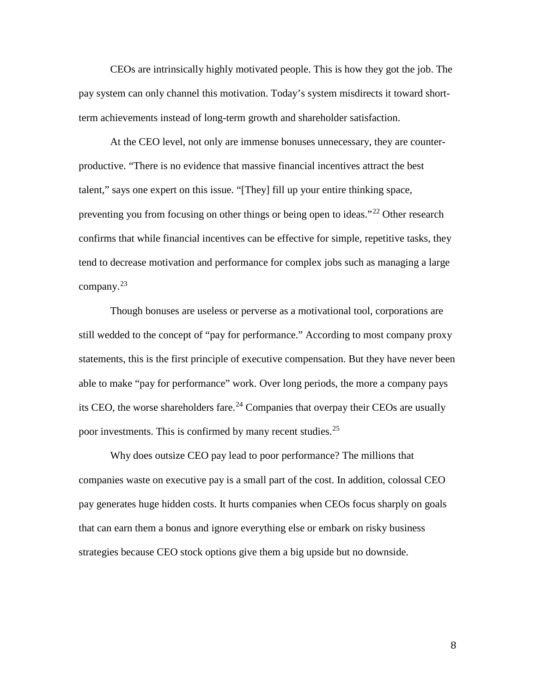CEOs are intrinsically highly motivated people. This is how they got the job. The pay system can only channel this motivation. Today's system misdirects it toward shortterm achievements instead of long-term growth and shareholder satisfaction.

At the CEO level, not only are immense bonuses unnecessary, they are counterproductive. "There is no evidence that massive financial incentives attract the best talent," says one expert on this issue. "[They] fill up your entire thinking space, preventing you from focusing on other things or being open to ideas."<sup>[22](#page-14-2)</sup> Other research confirms that while financial incentives can be effective for simple, repetitive tasks, they tend to decrease motivation and performance for complex jobs such as managing a large company. $^{23}$  $^{23}$  $^{23}$ 

Though bonuses are useless or perverse as a motivational tool, corporations are still wedded to the concept of "pay for performance." According to most company proxy statements, this is the first principle of executive compensation. But they have never been able to make "pay for performance" work. Over long periods, the more a company pays its CEO, the worse shareholders fare.<sup>[24](#page-14-4)</sup> Companies that overpay their CEOs are usually poor investments. This is confirmed by many recent studies.<sup>[25](#page-14-5)</sup>

Why does outsize CEO pay lead to poor performance? The millions that companies waste on executive pay is a small part of the cost. In addition, colossal CEO pay generates huge hidden costs. It hurts companies when CEOs focus sharply on goals that can earn them a bonus and ignore everything else or embark on risky business strategies because CEO stock options give them a big upside but no downside.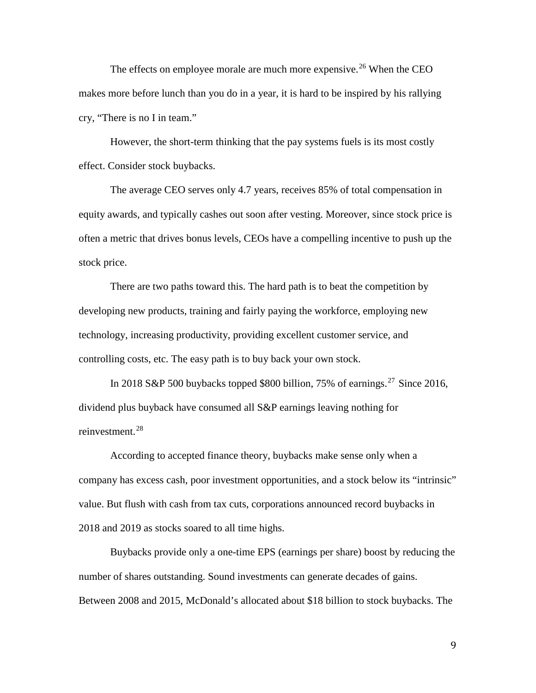The effects on employee morale are much more expensive.<sup>[26](#page-15-0)</sup> When the CEO makes more before lunch than you do in a year, it is hard to be inspired by his rallying cry, "There is no I in team."

However, the short-term thinking that the pay systems fuels is its most costly effect. Consider stock buybacks.

The average CEO serves only 4.7 years, receives 85% of total compensation in equity awards, and typically cashes out soon after vesting. Moreover, since stock price is often a metric that drives bonus levels, CEOs have a compelling incentive to push up the stock price.

There are two paths toward this. The hard path is to beat the competition by developing new products, training and fairly paying the workforce, employing new technology, increasing productivity, providing excellent customer service, and controlling costs, etc. The easy path is to buy back your own stock.

In 2018 S&P 500 buybacks topped \$800 billion, 75% of earnings.<sup>[27](#page-15-1)</sup> Since 2016, dividend plus buyback have consumed all S&P earnings leaving nothing for reinvestment.[28](#page-15-2)

According to accepted finance theory, buybacks make sense only when a company has excess cash, poor investment opportunities, and a stock below its "intrinsic" value. But flush with cash from tax cuts, corporations announced record buybacks in 2018 and 2019 as stocks soared to all time highs.

Buybacks provide only a one-time EPS (earnings per share) boost by reducing the number of shares outstanding. Sound investments can generate decades of gains. Between 2008 and 2015, McDonald's allocated about \$18 billion to stock buybacks. The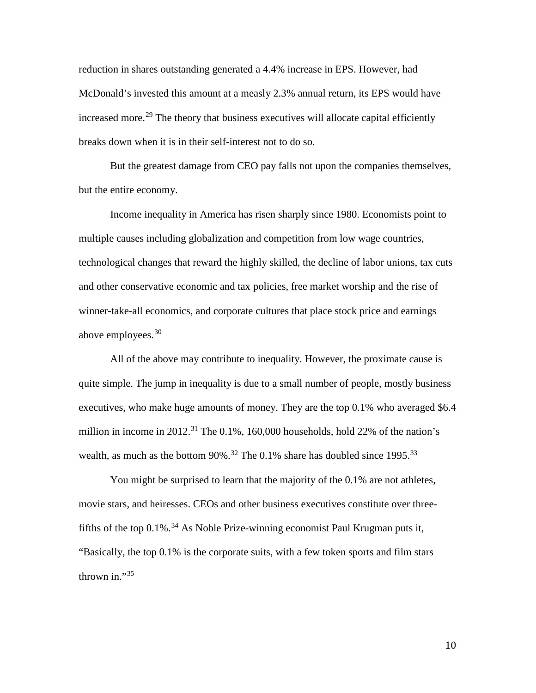reduction in shares outstanding generated a 4.4% increase in EPS. However, had McDonald's invested this amount at a measly 2.3% annual return, its EPS would have increased more.<sup>[29](#page-16-0)</sup> The theory that business executives will allocate capital efficiently breaks down when it is in their self-interest not to do so.

But the greatest damage from CEO pay falls not upon the companies themselves, but the entire economy.

Income inequality in America has risen sharply since 1980. Economists point to multiple causes including globalization and competition from low wage countries, technological changes that reward the highly skilled, the decline of labor unions, tax cuts and other conservative economic and tax policies, free market worship and the rise of winner-take-all economics, and corporate cultures that place stock price and earnings above employees. [30](#page-16-1)

All of the above may contribute to inequality. However, the proximate cause is quite simple. The jump in inequality is due to a small number of people, mostly business executives, who make huge amounts of money. They are the top 0.1% who averaged \$6.4 million in income in 2012.<sup>[31](#page-16-2)</sup> The 0.1%, 160,000 households, hold 22% of the nation's wealth, as much as the bottom  $90\%$ .<sup>[32](#page-16-3)</sup> The 0.1% share has doubled since 1995.<sup>[33](#page-16-4)</sup>

You might be surprised to learn that the majority of the 0.1% are not athletes, movie stars, and heiresses. CEOs and other business executives constitute over three-fifths of the top 0.1%.<sup>[34](#page-16-5)</sup> As Noble Prize-winning economist Paul Krugman puts it, "Basically, the top 0.1% is the corporate suits, with a few token sports and film stars thrown in." $35$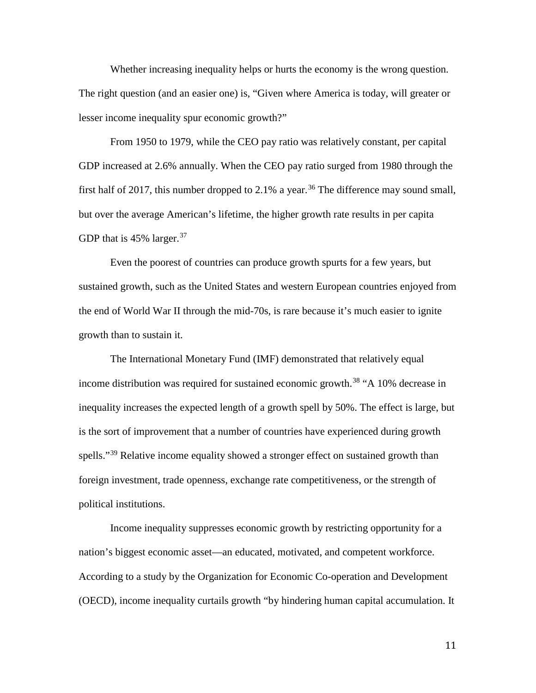Whether increasing inequality helps or hurts the economy is the wrong question. The right question (and an easier one) is, "Given where America is today, will greater or lesser income inequality spur economic growth?"

From 1950 to 1979, while the CEO pay ratio was relatively constant, per capital GDP increased at 2.6% annually. When the CEO pay ratio surged from 1980 through the first half of 2017, this number dropped to 2.1% a year.<sup>[36](#page-16-7)</sup> The difference may sound small, but over the average American's lifetime, the higher growth rate results in per capita GDP that is  $45\%$  larger.<sup>[37](#page-16-8)</sup>

Even the poorest of countries can produce growth spurts for a few years, but sustained growth, such as the United States and western European countries enjoyed from the end of World War II through the mid-70s, is rare because it's much easier to ignite growth than to sustain it.

The International Monetary Fund (IMF) demonstrated that relatively equal income distribution was required for sustained economic growth.<sup>[38](#page-16-9)</sup> "A 10% decrease in inequality increases the expected length of a growth spell by 50%. The effect is large, but is the sort of improvement that a number of countries have experienced during growth spells."<sup>[39](#page-16-10)</sup> Relative income equality showed a stronger effect on sustained growth than foreign investment, trade openness, exchange rate competitiveness, or the strength of political institutions.

Income inequality suppresses economic growth by restricting opportunity for a nation's biggest economic asset—an educated, motivated, and competent workforce. According to a study by the Organization for Economic Co-operation and Development (OECD), income inequality curtails growth "by hindering human capital accumulation. It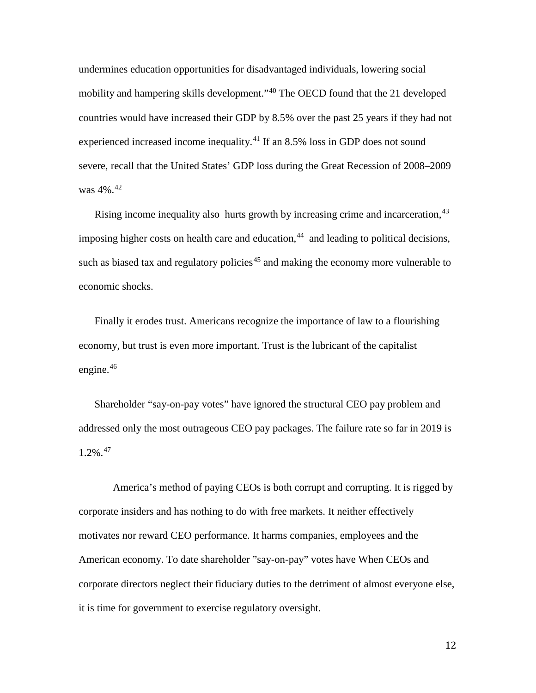undermines education opportunities for disadvantaged individuals, lowering social mobility and hampering skills development."<sup>[40](#page-17-0)</sup> The OECD found that the 21 developed countries would have increased their GDP by 8.5% over the past 25 years if they had not experienced increased income inequality.<sup>[41](#page-17-1)</sup> If an 8.5% loss in GDP does not sound severe, recall that the United States' GDP loss during the Great Recession of 2008–2009 was 4%.[42](#page-17-2)

Rising income inequality also hurts growth by increasing crime and incarceration, <sup>[43](#page-17-3)</sup> imposing higher costs on health care and education, [44](#page-17-4) and leading to political decisions, such as biased tax and regulatory policies<sup>[45](#page-18-0)</sup> and making the economy more vulnerable to economic shocks.

Finally it erodes trust. Americans recognize the importance of law to a flourishing economy, but trust is even more important. Trust is the lubricant of the capitalist engine. $46$ 

Shareholder "say-on-pay votes" have ignored the structural CEO pay problem and addressed only the most outrageous CEO pay packages. The failure rate so far in 2019 is  $1.2\%$ <sup>[47](#page-18-2)</sup>

America's method of paying CEOs is both corrupt and corrupting. It is rigged by corporate insiders and has nothing to do with free markets. It neither effectively motivates nor reward CEO performance. It harms companies, employees and the American economy. To date shareholder "say-on-pay" votes have When CEOs and corporate directors neglect their fiduciary duties to the detriment of almost everyone else, it is time for government to exercise regulatory oversight.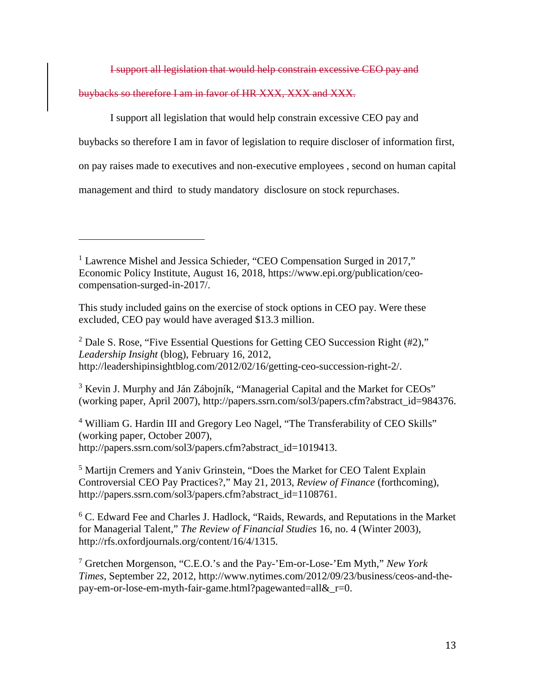I support all legislation that would help constrain excessive CEO pay and

buybacks so therefore I am in favor of HR XXX, XXX and XXX.

 $\overline{a}$ 

I support all legislation that would help constrain excessive CEO pay and buybacks so therefore I am in favor of legislation to require discloser of information first, on pay raises made to executives and non-executive employees , second on human capital management and third to study mandatory disclosure on stock repurchases.

<span id="page-12-1"></span><sup>2</sup> Dale S. Rose, "Five Essential Questions for Getting CEO Succession Right  $(42)$ ," *Leadership Insight* (blog), February 16, 2012, http://leadershipinsightblog.com/2012/02/16/getting-ceo-succession-right-2/.

<span id="page-12-2"></span> $3$  Kevin J. Murphy and Ján Zábojník, "Managerial Capital and the Market for CEOs" (working paper, April 2007), http://papers.ssrn.com/sol3/papers.cfm?abstract\_id=984376.

<span id="page-12-3"></span><sup>4</sup> William G. Hardin III and Gregory Leo Nagel, "The Transferability of CEO Skills" (working paper, October 2007), http://papers.ssrn.com/sol3/papers.cfm?abstract\_id=1019413.

<span id="page-12-4"></span><sup>5</sup> Martijn Cremers and Yaniv Grinstein, "Does the Market for CEO Talent Explain Controversial CEO Pay Practices?," May 21, 2013, *Review of Finance* (forthcoming), http://papers.ssrn.com/sol3/papers.cfm?abstract\_id=1108761.

<span id="page-12-5"></span> $6$  C. Edward Fee and Charles J. Hadlock, "Raids, Rewards, and Reputations in the Market for Managerial Talent," *The Review of Financial Studies* 16, no. 4 (Winter 2003), http://rfs.oxfordjournals.org/content/16/4/1315.

<span id="page-12-6"></span><sup>7</sup> Gretchen Morgenson, "C.E.O.'s and the Pay-'Em-or-Lose-'Em Myth," *New York Times*, September 22, 2012, http://www.nytimes.com/2012/09/23/business/ceos-and-thepay-em-or-lose-em-myth-fair-game.html?pagewanted=all&\_r=0.

<span id="page-12-0"></span><sup>&</sup>lt;sup>1</sup> [Lawrence Mishel](https://www.epi.org/people/lawrence-mishel/) and [Jessica Schieder,](https://www.epi.org/people/jessica-schieder/) "CEO Compensation Surged in 2017," Economic Policy Institute, August 16, 2018, https://www.epi.org/publication/ceocompensation-surged-in-2017/.

This study included gains on the exercise of stock options in CEO pay. Were these excluded, CEO pay would have averaged \$13.3 million.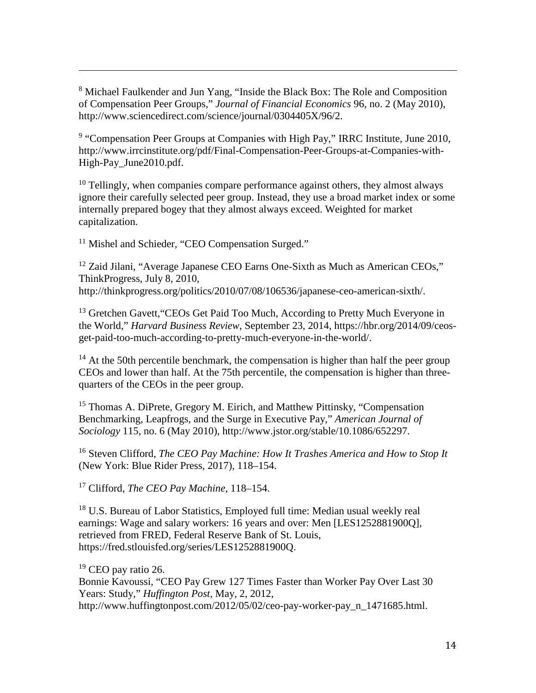<span id="page-13-0"></span><sup>8</sup> Michael Faulkender and Jun Yang, "Inside the Black Box: The Role and Composition of Compensation Peer Groups," *[Journal of Financial Economics](https://econpapers.repec.org/article/eeejfinec/)* 96, no. 2 (May 2010), http://www.sciencedirect.com/science/journal/0304405X/96/2.

<span id="page-13-1"></span><sup>9</sup> "Compensation Peer Groups at Companies with High Pay," IRRC Institute, June 2010, http://www.irrcinstitute.org/pdf/Final-Compensation-Peer-Groups-at-Companies-with-High-Pay\_June2010.pdf.

<span id="page-13-2"></span> $10$  Tellingly, when companies compare performance against others, they almost always ignore their carefully selected peer group. Instead, they use a broad market index or some internally prepared bogey that they almost always exceed. Weighted for market capitalization.

<span id="page-13-3"></span><sup>11</sup> [Mishel](https://www.epi.org/people/lawrence-mishel/) and [Schieder,](https://www.epi.org/people/jessica-schieder/) "CEO Compensation Surged."

<span id="page-13-4"></span><sup>12</sup> Zaid Jilani, "Average Japanese CEO Earns One-Sixth as Much as American CEOs," ThinkProgress, July 8, 2010, [http://thinkprogress.org/politics/2010/07/08/106536/japanese-ceo-american-sixth/.](http://thinkprogress.org/politics/2010/07/08/106536/japanese-ceo-american-sixth/)

<span id="page-13-5"></span><sup>13</sup> [Gretchen Gavett](https://hbr.org/search?term=gretchen+gavett), "CEOs Get Paid Too Much, According to Pretty Much Everyone in the World," *[Harvard Business Review](https://hbr.org/)*, September 23, 2014, https://hbr.org/2014/09/ceosget-paid-too-much-according-to-pretty-much-everyone-in-the-world/.

<span id="page-13-6"></span> $14$  At the 50th percentile benchmark, the compensation is higher than half the peer group CEOs and lower than half. At the 75th percentile, the compensation is higher than threequarters of the CEOs in the peer group.

<span id="page-13-7"></span><sup>15</sup> Thomas A. DiPrete, Gregory M. Eirich, and Matthew Pittinsky, "Compensation" Benchmarking, Leapfrogs, and the Surge in Executive Pay," *American Journal of Sociology* 115, no. 6 (May 2010), http://www.jstor.org/stable/10.1086/652297.

<span id="page-13-8"></span><sup>16</sup> Steven Clifford, *The CEO Pay Machine: How It Trashes America and How to Stop It* (New York: Blue Rider Press, 2017), 118–154.

<span id="page-13-9"></span><sup>17</sup> Clifford, *The CEO Pay Machine*, 118–154.

<span id="page-13-10"></span><sup>18</sup> U.S. Bureau of Labor Statistics, Employed full time: Median usual weekly real earnings: Wage and salary workers: 16 years and over: Men [LES1252881900Q], retrieved from FRED, Federal Reserve Bank of St. Louis, https://fred.stlouisfed.org/series/LES1252881900Q.

<span id="page-13-11"></span> $19$  CEO pay ratio 26.

 $\overline{a}$ 

Bonnie Kavoussi, "CEO Pay Grew 127 Times Faster than Worker Pay Over Last 30 Years: Study," *Huffington Post*, May, 2, 2012, [http://www.huffingtonpost.com/2012/05/02/ceo-pay-worker-pay\\_n\\_1471685.html.](http://www.huffingtonpost.com/2012/05/02/ceo-pay-worker-pay_n_1471685.html)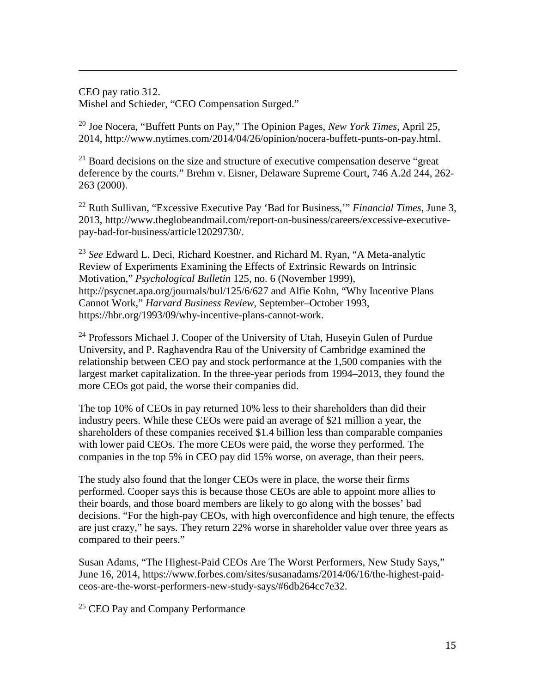CEO pay ratio 312. [Mishel](https://www.epi.org/people/lawrence-mishel/) and [Schieder,](https://www.epi.org/people/jessica-schieder/) "CEO Compensation Surged."

 $\overline{a}$ 

<span id="page-14-0"></span><sup>20</sup> Joe Nocera, "Buffett Punts on Pay," The Opinion Pages, *New York Times*, April 25, 2014, http://www.nytimes.com/2014/04/26/opinion/nocera-buffett-punts-on-pay.html.

<span id="page-14-1"></span> $21$  Board decisions on the size and structure of executive compensation deserve "great" deference by the courts." Brehm v. Eisner, Delaware Supreme Court, 746 A.2d 244, 262- 263 (2000).

<span id="page-14-2"></span><sup>22</sup> Ruth Sullivan, "Excessive Executive Pay 'Bad for Business,'" *Financial Times*, June 3, 2013, http://www.theglobeandmail.com/report-on-business/careers/excessive-executivepay-bad-for-business/article12029730/.

<span id="page-14-3"></span><sup>23</sup> *See* Edward L. Deci, Richard Koestner, and Richard M. Ryan, "A Meta-analytic Review of Experiments Examining the Effects of Extrinsic Rewards on Intrinsic Motivation," *Psychological Bulletin* 125, no. 6 (November 1999), http://psycnet.apa.org/journals/bul/125/6/627 and [Alfie Kohn,](https://hbr.org/search?term=alfie+kohn) "Why Incentive Plans Cannot Work," *Harvard Business Review*, September–October 1993, [https://hbr.org/1993/09/why-incentive-plans-cannot-work.](https://hbr.org/1993/09/why-incentive-plans-cannot-work)

<span id="page-14-4"></span><sup>24</sup> Professors Michael J. Cooper of the University of Utah, Huseyin Gulen of Purdue University, and P. Raghavendra Rau of the University of Cambridge examined the relationship between CEO pay and stock performance at the 1,500 companies with the largest market capitalization. In the three-year periods from 1994–2013, they found the more CEOs got paid, the worse their companies did.

The top 10% of CEOs in pay returned 10% less to their shareholders than did their industry peers. While these CEOs were paid an average of \$21 million a year, the shareholders of these companies received \$1.4 billion less than comparable companies with lower paid CEOs. The more CEOs were paid, the worse they performed. The companies in the top 5% in CEO pay did 15% worse, on average, than their peers.

The study also found that the longer CEOs were in place, the worse their firms performed. Cooper says this is because those CEOs are able to appoint more allies to their boards, and those board members are likely to go along with the bosses' bad decisions. "For the high-pay CEOs, with high overconfidence and high tenure, the effects are just crazy," he says. They return 22% worse in shareholder value over three years as compared to their peers."

Susan Adams, "The Highest-Paid CEOs Are The Worst Performers, New Study Says," June 16, 2014, https://www.forbes.com/sites/susanadams/2014/06/16/the-highest-paidceos-are-the-worst-performers-new-study-says/#6db264cc7e32.

<span id="page-14-5"></span><sup>25</sup> CEO Pay and Company Performance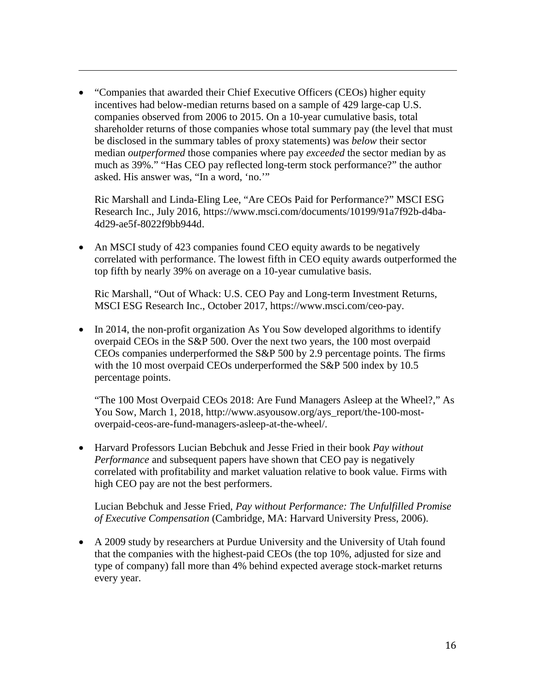• "Companies that awarded their Chief Executive Officers (CEOs) higher equity incentives had below-median returns based on a sample of 429 large-cap U.S. companies observed from 2006 to 2015. On a 10-year cumulative basis, total shareholder returns of those companies whose total summary pay (the level that must be disclosed in the summary tables of proxy statements) was *below* their sector median *outperformed* those companies where pay *exceeded* the sector median by as much as 39%." "Has CEO pay reflected long-term stock performance?" the author asked. His answer was, "In a word, 'no.'"

 $\overline{a}$ 

Ric Marshall and Linda-Eling Lee, "Are CEOs Paid for Performance?" MSCI ESG Research Inc., July 2016, [https://www.msci.com/documents/10199/91a7f92b-d4ba-](https://www.msci.com/documents/10199/91a7f92b-d4ba-4d29-ae5f-8022f9bb944d)[4d29-ae5f-8022f9bb944d.](https://www.msci.com/documents/10199/91a7f92b-d4ba-4d29-ae5f-8022f9bb944d)

<span id="page-15-0"></span>• An MSCI study of 423 companies found CEO equity awards to be negatively correlated with performance. The lowest fifth in CEO equity awards outperformed the top fifth by nearly 39% on average on a 10-year cumulative basis.

Ric Marshall, "Out of Whack: U.S. CEO Pay and Long-term Investment Returns, MSCI ESG Research Inc., October 2017, https://www.msci.com/ceo-pay.

• In 2014, the non-profit organization As You Sow developed algorithms to identify overpaid CEOs in the S&P 500. Over the next two years, the 100 most overpaid CEOs companies underperformed the S&P 500 by 2.9 percentage points. The firms with the 10 most overpaid CEOs underperformed the S&P 500 index by 10.5 percentage points.

"The 100 Most Overpaid CEOs 2018: Are Fund Managers Asleep at the Wheel?," As You Sow, March 1, 2018, [http://www.asyousow.org/ays\\_report/the-100-most](http://www.asyousow.org/ays_report/the-100-most-overpaid-ceos-are-fund-managers-asleep-at-the-wheel/)[overpaid-ceos-are-fund-managers-asleep-at-the-wheel/.](http://www.asyousow.org/ays_report/the-100-most-overpaid-ceos-are-fund-managers-asleep-at-the-wheel/)

• Harvard Professors Lucian Bebchuk and Jesse Fried in their book *Pay without Performance* and subsequent papers have shown that CEO pay is negatively correlated with profitability and market valuation relative to book value. Firms with high CEO pay are not the best performers.

Lucian Bebchuk and Jesse Fried, *Pay without Performance: The Unfulfilled Promise of Executive Compensation* (Cambridge, MA: Harvard University Press, 2006).

<span id="page-15-2"></span><span id="page-15-1"></span>• A 2009 study by researchers at Purdue University and the University of Utah found that the companies with the highest-paid CEOs (the top 10%, adjusted for size and type of company) fall more than 4% behind expected average stock-market returns every year.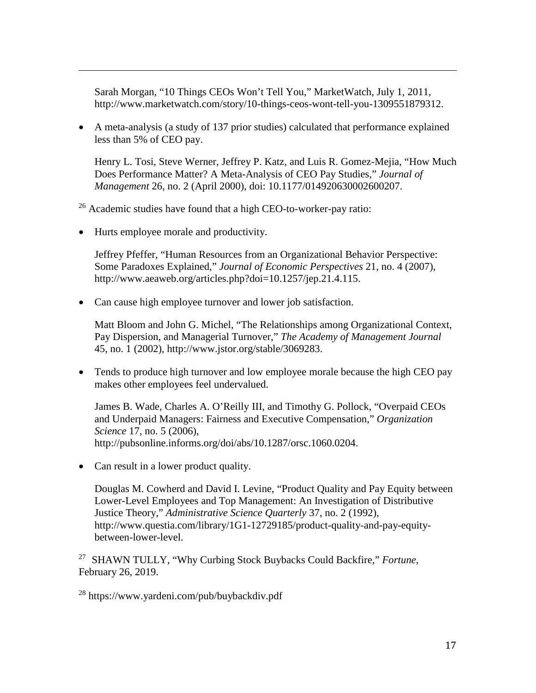Sarah Morgan, "10 Things CEOs Won't Tell You," MarketWatch, July 1, 2011, [http://www.marketwatch.com/story/10-things-ceos-wont-tell-you-1309551879312.](http://www.marketwatch.com/story/10-things-ceos-wont-tell-you-1309551879312)

<span id="page-16-1"></span>• A meta-analysis (a study of 137 prior studies) calculated that performance explained less than 5% of CEO pay.

Henry L. Tosi, Steve Werner, Jeffrey P. Katz, and Luis R. Gomez-Mejia, "How Much Does Performance Matter? A Meta-Analysis of CEO Pay Studies," *Journal of Management* 26, no. 2 (April 2000), doi: 10.1177/014920630002600207.

<span id="page-16-2"></span><sup>26</sup> Academic studies have found that a high CEO-to-worker-pay ratio:

<span id="page-16-3"></span>• Hurts employee morale and productivity.

<span id="page-16-0"></span> $\overline{a}$ 

Jeffrey Pfeffer, "Human Resources from an Organizational Behavior Perspective: Some Paradoxes Explained," *Journal of Economic Perspectives* 21, no. 4 (2007), http://www.aeaweb.org/articles.php?doi=10.1257/jep.21.4.115.

<span id="page-16-4"></span>• Can cause high employee turnover and lower job satisfaction.

Matt Bloom and John G. Michel, "The Relationships among Organizational Context, Pay Dispersion, and Managerial Turnover," *The Academy of Management Journal* 45, no. 1 (2002), http://www.jstor.org/stable/3069283.

<span id="page-16-5"></span>• Tends to produce high turnover and low employee morale because the high CEO pay makes other employees feel undervalued.

James B. Wade, Charles A. O'Reilly III, and Timothy G. Pollock, "Overpaid CEOs and Underpaid Managers: Fairness and Executive Compensation," *Organization Science* 17, no. 5 (2006), http://pubsonline.informs.org/doi/abs/10.1287/orsc.1060.0204.

<span id="page-16-8"></span><span id="page-16-7"></span><span id="page-16-6"></span>• Can result in a lower product quality.

Douglas M. Cowherd and David I. Levine, "Product Quality and Pay Equity between Lower-Level Employees and Top Management: An Investigation of Distributive Justice Theory," *Administrative Science Quarterly* 37, no. 2 (1992), http://www.questia.com/library/1G1-12729185/product-quality-and-pay-equitybetween-lower-level.

<span id="page-16-10"></span><span id="page-16-9"></span><sup>27</sup> [SHAWN TULLY,](http://fortune.com/author/shawn-tully/) "Why Curbing Stock Buybacks Could Backfire," *Fortune*, February 26, 2019.

<sup>28</sup> <https://www.yardeni.com/pub/buybackdiv.pdf>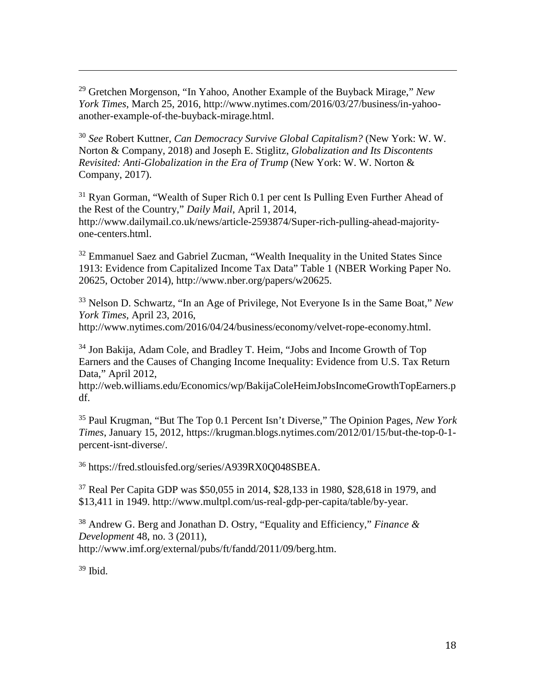<span id="page-17-0"></span><sup>29</sup> Gretchen Morgenson, "In Yahoo, Another Example of the Buyback Mirage," *New York Times*, March 25, 2016, http://www.nytimes.com/2016/03/27/business/in-yahooanother-example-of-the-buyback-mirage.html.

<span id="page-17-1"></span><sup>30</sup> *See* Robert Kuttner, *[Can Democracy Survive Global Capitalism?](https://www.amazon.com/Can-Democracy-Survive-Global-Capitalism/dp/0393609936/ref=sr_1_1?s=books&ie=UTF8&qid=1538777514&sr=1-1&keywords=can+democracy+survive+globalization&dpID=41BKvthsZpL&preST=_SY344_BO1,204,203,200_QL70_&dpSrc=srch)* (New York: W. W. Norton & Company, 2018) and Joseph E. Stiglitz, *[Globalization and Its Discontents](https://www.amazon.com/Globalization-Its-Discontents-Revisited-Anti-Globalization/dp/0393355160/ref=sr_1_1?s=books&ie=UTF8&qid=1538777669&sr=1-1&keywords=joseph+stiglitz&dpID=510SvFMMgML&preST=_SY291_BO1,204,203,200_QL40_&dpSrc=srch)  [Revisited: Anti-Globalization in the Era of Trump](https://www.amazon.com/Globalization-Its-Discontents-Revisited-Anti-Globalization/dp/0393355160/ref=sr_1_1?s=books&ie=UTF8&qid=1538777669&sr=1-1&keywords=joseph+stiglitz&dpID=510SvFMMgML&preST=_SY291_BO1,204,203,200_QL40_&dpSrc=srch)* (New York: W. W. Norton & Company, 2017).

<sup>31</sup> Ryan Gorman, "Wealth of Super Rich 0.1 per cent Is Pulling Even Further Ahead of the Rest of the Country," *Daily Mail*, April 1, 2014, http://www.dailymail.co.uk/news/article-2593874/Super-rich-pulling-ahead-majorityone-centers.html.

<span id="page-17-2"></span> $32$  Emmanuel Saez and Gabriel Zucman, "Wealth Inequality in the United States Since 1913: Evidence from Capitalized Income Tax Data" Table 1 (NBER Working Paper No. 20625, October 2014), http://www.nber.org/papers/w20625.

<span id="page-17-3"></span><sup>33</sup> Nelson D. Schwartz, "In an Age of Privilege, Not Everyone Is in the Same Boat," *New York Times*, April 23, 2016,

http://www.nytimes.com/2016/04/24/business/economy/velvet-rope-economy.html.

<sup>34</sup> Jon Bakija, Adam Cole, and Bradley T. Heim, "Jobs and Income Growth of Top Earners and the Causes of Changing Income Inequality: Evidence from U.S. Tax Return Data," April 2012,

[http://web.williams.edu/Economics/wp/BakijaColeHeimJobsIncomeGrowthTopEarners.p](http://web.williams.edu/Economics/wp/BakijaColeHeimJobsIncomeGrowthTopEarners.pdf) [df.](http://web.williams.edu/Economics/wp/BakijaColeHeimJobsIncomeGrowthTopEarners.pdf)

<sup>35</sup> Paul Krugman, "But The Top 0.1 Percent Isn't Diverse," The Opinion Pages, *New York Times*, January 15, 2012, https://krugman.blogs.nytimes.com/2012/01/15/but-the-top-0-1 percent-isnt-diverse/.

<sup>36</sup> [https://fred.stlouisfed.org/series/A939RX0Q048SBEA.](https://fred.stlouisfed.org/series/A939RX0Q048SBEA)

<sup>37</sup> Real Per Capita GDP was \$50,055 in 2014, \$28,133 in 1980, \$28,618 in 1979, and \$13,411 in 1949. http://www.multpl.com/us-real-gdp-per-capita/table/by-year.

<sup>38</sup> Andrew G. Berg and Jonathan D. Ostry, "Equality and Efficiency," *Finance & Development* 48, no. 3 (2011), http://www.imf.org/external/pubs/ft/fandd/2011/09/berg.htm.

<span id="page-17-4"></span> $39$  Ibid.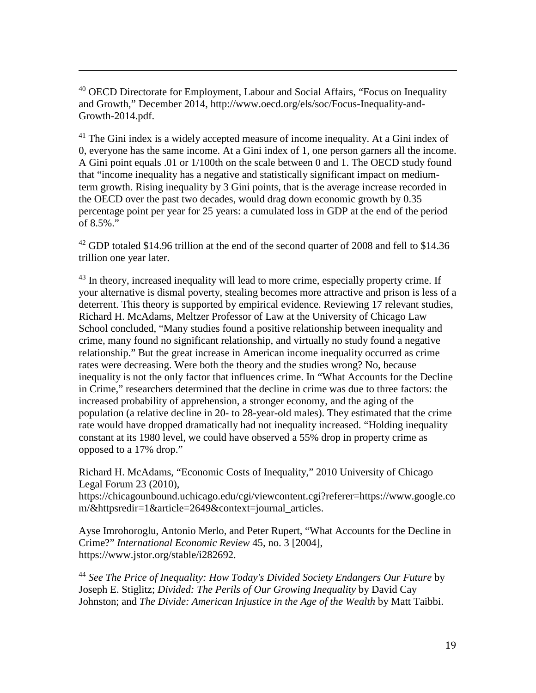<span id="page-18-0"></span> $40$  OECD Directorate for Employment, Labour and Social Affairs, "Focus on Inequality and Growth," December 2014, [http://www.oecd.org/els/soc/Focus-Inequality-and-](http://www.oecd.org/els/soc/Focus-Inequality-and-Growth-2014.pdf)[Growth-2014.pdf.](http://www.oecd.org/els/soc/Focus-Inequality-and-Growth-2014.pdf)

 $\overline{a}$ 

<span id="page-18-2"></span><span id="page-18-1"></span><sup>41</sup> The Gini index is a widely accepted measure of income inequality. At a Gini index of 0, everyone has the same income. At a Gini index of 1, one person garners all the income. A Gini point equals .01 or 1/100th on the scale between 0 and 1. The OECD study found that "income inequality has a negative and statistically significant impact on mediumterm growth. Rising inequality by 3 Gini points, that is the average increase recorded in the OECD over the past two decades, would drag down economic growth by 0.35 percentage point per year for 25 years: a cumulated loss in GDP at the end of the period of 8.5%."

<sup>42</sup> GDP totaled \$14.96 trillion at the end of the second quarter of 2008 and fell to \$14.36 trillion one year later.

 $43$  In theory, increased inequality will lead to more crime, especially property crime. If your alternative is dismal poverty, stealing becomes more attractive and prison is less of a deterrent. This theory is supported by empirical evidence. Reviewing 17 relevant studies, Richard H. McAdams, Meltzer Professor of Law at the University of Chicago Law School concluded, "Many studies found a positive relationship between inequality and crime, many found no significant relationship, and virtually no study found a negative relationship." But the great increase in American income inequality occurred as crime rates were decreasing. Were both the theory and the studies wrong? No, because inequality is not the only factor that influences crime. In "What Accounts for the Decline in Crime," researchers determined that the decline in crime was due to three factors: the increased probability of apprehension, a stronger economy, and the aging of the population (a relative decline in 20- to 28-year-old males). They estimated that the crime rate would have dropped dramatically had not inequality increased. "Holding inequality constant at its 1980 level, we could have observed a 55% drop in property crime as opposed to a 17% drop."

Richard H. McAdams, "Economic Costs of Inequality," 2010 University of Chicago Legal Forum 23 (2010),

https://chicagounbound.uchicago.edu/cgi/viewcontent.cgi?referer=https://www.google.co m/&httpsredir=1&article=2649&context=journal\_articles.

Ayse Imrohoroglu, Antonio Merlo, and Peter Rupert, "What Accounts for the Decline in Crime?" *International Economic Review* 45, no. 3 [2004], https://www.jstor.org/stable/i282692.

<sup>44</sup> [See The Price of Inequality: How Today's Divided Society Endangers Our Future](http://www.amazon.com/Price-Inequality-Divided-Society-Endangers/dp/0393345068/ref=sr_1_1?s=books&ie=UTF8&qid=1399588797&sr=1-1&keywords=inequality) by [Joseph E. Stiglitz;](http://www.amazon.com/Joseph-E.-Stiglitz/e/B000APIKRK/ref=sr_ntt_srch_lnk_1?qid=1399588797&sr=1-1) *[Divided: The Perils of Our Growing Inequality](http://www.amazon.com/Divided-Perils-Our-Growing-Inequality/dp/1595589236/ref=sr_1_2?s=books&ie=UTF8&qid=1399588797&sr=1-2&keywords=inequality)* by David Cay Johnston; and *The Divide: American Injustice in the Age of the Wealth* by [Matt Taibbi.](http://www.amazon.com/Matt-Taibbi/e/B001JRUQ4S/ref=dp_byline_cont_book_1)